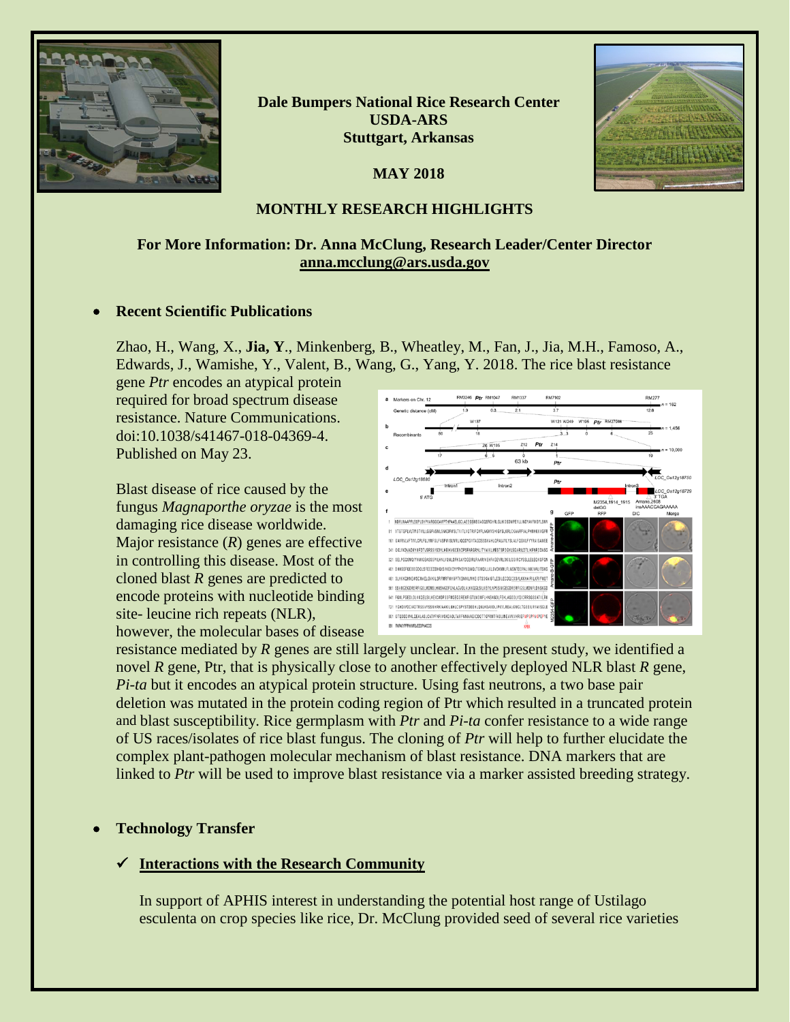

**Dale Bumpers National Rice Research Center USDA-ARS Stuttgart, Arkansas**

**MAY 2018**



## **MONTHLY RESEARCH HIGHLIGHTS**

# **For More Information: Dr. Anna McClung, Research Leader/Center Director [anna.mcclung@ars.usda.gov](mailto:anna.mcclung@ars.usda.gov)**

#### • **Recent Scientific Publications**

Zhao, H., Wang, X., **Jia, Y**., Minkenberg, B., Wheatley, M., Fan, J., Jia, M.H., Famoso, A., Edwards, J., Wamishe, Y., Valent, B., Wang, G., Yang, Y. 2018. The rice blast resistance

gene *Ptr* encodes an atypical protein required for broad spectrum disease resistance. Nature Communications. doi:10.1038/s41467-018-04369-4. Published on May 23.

Blast disease of rice caused by the fungus *Magnaporthe oryzae* is the most damaging rice disease worldwide. Major resistance (*R*) genes are effective in controlling this disease. Most of the cloned blast *R* genes are predicted to encode proteins with nucleotide binding site- leucine rich repeats (NLR), however, the molecular bases of disease



resistance mediated by *R* genes are still largely unclear. In the present study, we identified a novel *R* gene, Ptr, that is physically close to another effectively deployed NLR blast *R* gene, *Pi-ta* but it encodes an atypical protein structure. Using fast neutrons, a two base pair deletion was mutated in the protein coding region of Ptr which resulted in a truncated protein and blast susceptibility. Rice germplasm with *Ptr* and *Pi-ta* confer resistance to a wide range of US races/isolates of rice blast fungus. The cloning of *Ptr* will help to further elucidate the complex plant-pathogen molecular mechanism of blast resistance. DNA markers that are linked to *Ptr* will be used to improve blast resistance via a marker assisted breeding strategy.

#### • **Technology Transfer**

#### **Interactions with the Research Community**

In support of APHIS interest in understanding the potential host range of Ustilago esculenta on crop species like rice, Dr. McClung provided seed of several rice varieties